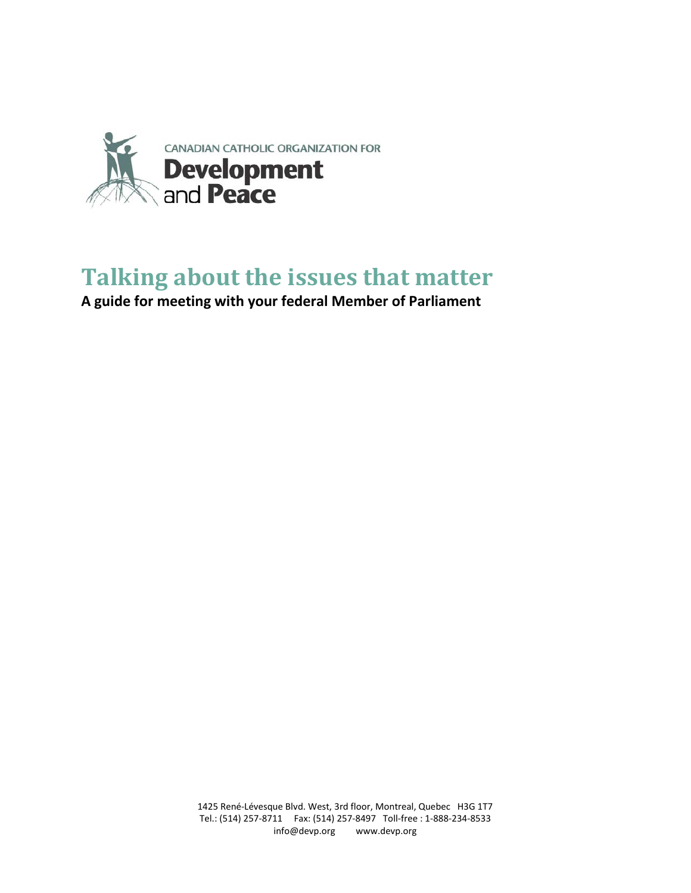

# **Talking about the issues that matter**

**A guide for meeting with your federal Member of Parliament**

1425 René-Lévesque Blvd. West, 3rd floor, Montreal, Quebec H3G 1T7 Tel.: (514) 257-8711 Fax: (514) 257-8497 Toll-free : 1-888-234-8533 info@devp.org www.devp.org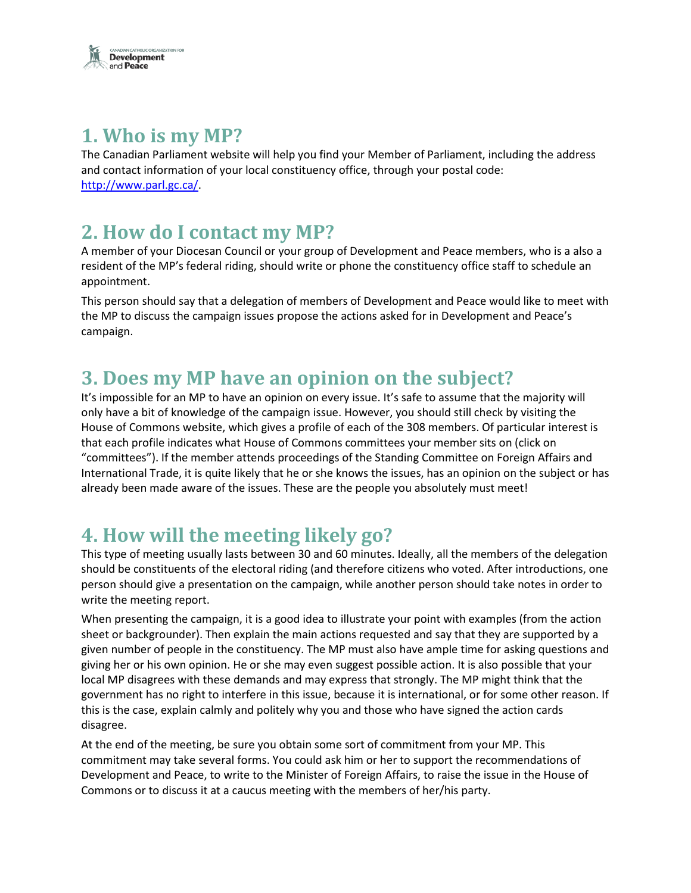

### **1. Who is my MP?**

The Canadian Parliament website will help you find your Member of Parliament, including the address and contact information of your local constituency office, through your postal code: [http://www.parl.gc.ca/.](http://www.parl.gc.ca/)

## **2. How do I contact my MP?**

A member of your Diocesan Council or your group of Development and Peace members, who is a also a resident of the MP's federal riding, should write or phone the constituency office staff to schedule an appointment.

This person should say that a delegation of members of Development and Peace would like to meet with the MP to discuss the campaign issues propose the actions asked for in Development and Peace's campaign.

### **3. Does my MP have an opinion on the subject?**

It's impossible for an MP to have an opinion on every issue. It's safe to assume that the majority will only have a bit of knowledge of the campaign issue. However, you should still check by visiting the House of Commons website, which gives a profile of each of the 308 members. Of particular interest is that each profile indicates what House of Commons committees your member sits on (click on "committees"). If the member attends proceedings of the Standing Committee on Foreign Affairs and International Trade, it is quite likely that he or she knows the issues, has an opinion on the subject or has already been made aware of the issues. These are the people you absolutely must meet!

## **4. How will the meeting likely go?**

This type of meeting usually lasts between 30 and 60 minutes. Ideally, all the members of the delegation should be constituents of the electoral riding (and therefore citizens who voted. After introductions, one person should give a presentation on the campaign, while another person should take notes in order to write the meeting report.

When presenting the campaign, it is a good idea to illustrate your point with examples (from the action sheet or backgrounder). Then explain the main actions requested and say that they are supported by a given number of people in the constituency. The MP must also have ample time for asking questions and giving her or his own opinion. He or she may even suggest possible action. It is also possible that your local MP disagrees with these demands and may express that strongly. The MP might think that the government has no right to interfere in this issue, because it is international, or for some other reason. If this is the case, explain calmly and politely why you and those who have signed the action cards disagree.

At the end of the meeting, be sure you obtain some sort of commitment from your MP. This commitment may take several forms. You could ask him or her to support the recommendations of Development and Peace, to write to the Minister of Foreign Affairs, to raise the issue in the House of Commons or to discuss it at a caucus meeting with the members of her/his party.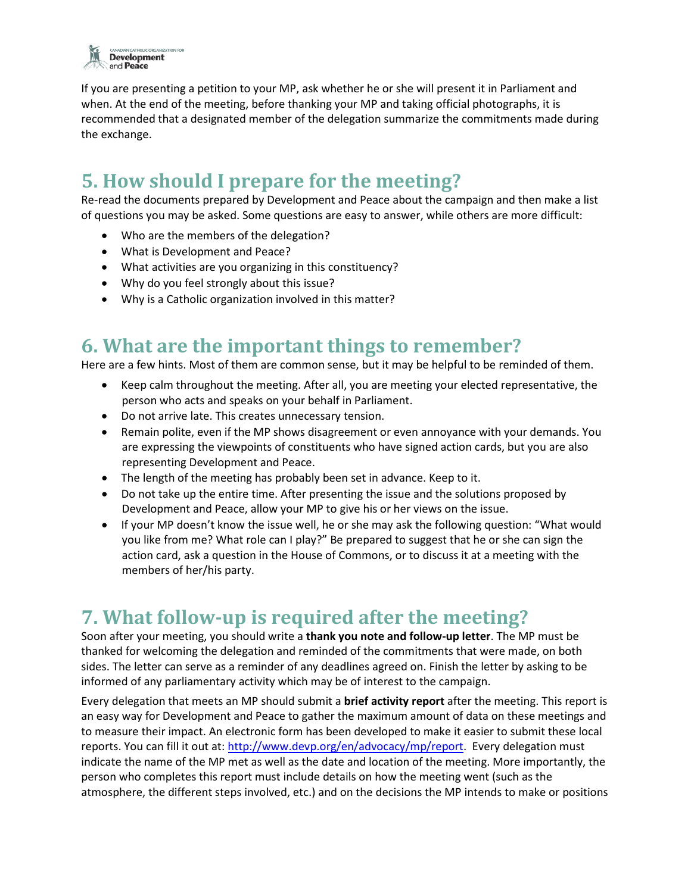

If you are presenting a petition to your MP, ask whether he or she will present it in Parliament and when. At the end of the meeting, before thanking your MP and taking official photographs, it is recommended that a designated member of the delegation summarize the commitments made during the exchange.

## **5. How should I prepare for the meeting?**

Re-read the documents prepared by Development and Peace about the campaign and then make a list of questions you may be asked. Some questions are easy to answer, while others are more difficult:

- Who are the members of the delegation?
- What is Development and Peace?
- What activities are you organizing in this constituency?
- Why do you feel strongly about this issue?
- Why is a Catholic organization involved in this matter?

### **6. What are the important things to remember?**

Here are a few hints. Most of them are common sense, but it may be helpful to be reminded of them.

- Keep calm throughout the meeting. After all, you are meeting your elected representative, the person who acts and speaks on your behalf in Parliament.
- Do not arrive late. This creates unnecessary tension.
- Remain polite, even if the MP shows disagreement or even annoyance with your demands. You are expressing the viewpoints of constituents who have signed action cards, but you are also representing Development and Peace.
- The length of the meeting has probably been set in advance. Keep to it.
- Do not take up the entire time. After presenting the issue and the solutions proposed by Development and Peace, allow your MP to give his or her views on the issue.
- If your MP doesn't know the issue well, he or she may ask the following question: "What would you like from me? What role can I play?" Be prepared to suggest that he or she can sign the action card, ask a question in the House of Commons, or to discuss it at a meeting with the members of her/his party.

### **7. What follow-up is required after the meeting?**

Soon after your meeting, you should write a **thank you note and follow-up letter**. The MP must be thanked for welcoming the delegation and reminded of the commitments that were made, on both sides. The letter can serve as a reminder of any deadlines agreed on. Finish the letter by asking to be informed of any parliamentary activity which may be of interest to the campaign.

Every delegation that meets an MP should submit a **brief activity report** after the meeting. This report is an easy way for Development and Peace to gather the maximum amount of data on these meetings and to measure their impact. An electronic form has been developed to make it easier to submit these local reports. You can fill it out at: [http://www.devp.org/en/advocacy/mp/report.](http://www.devp.org/en/advocacy/mp/report) Every delegation must indicate the name of the MP met as well as the date and location of the meeting. More importantly, the person who completes this report must include details on how the meeting went (such as the atmosphere, the different steps involved, etc.) and on the decisions the MP intends to make or positions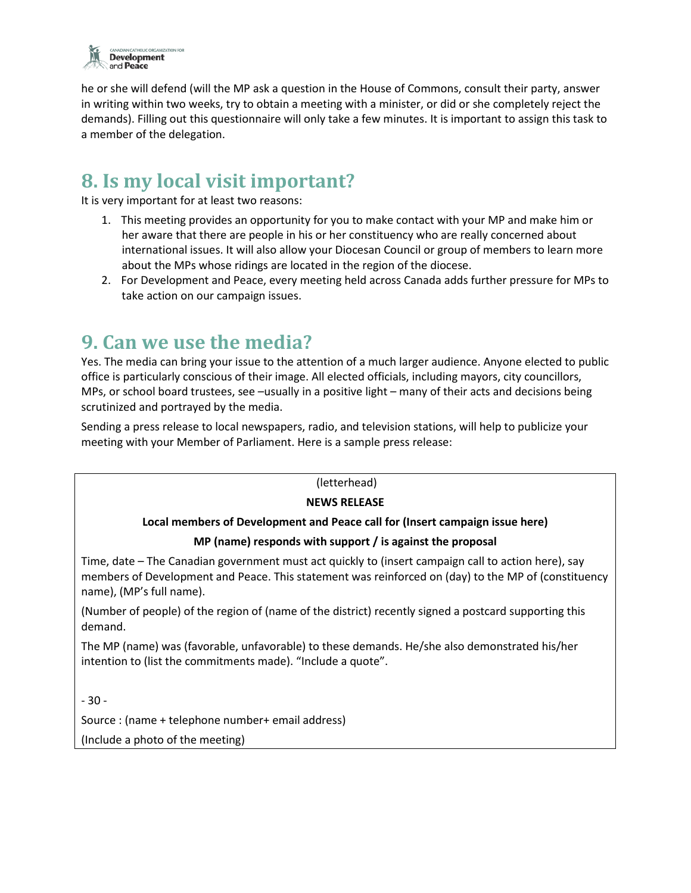

he or she will defend (will the MP ask a question in the House of Commons, consult their party, answer in writing within two weeks, try to obtain a meeting with a minister, or did or she completely reject the demands). Filling out this questionnaire will only take a few minutes. It is important to assign this task to a member of the delegation.

## **8. Is my local visit important?**

It is very important for at least two reasons:

- 1. This meeting provides an opportunity for you to make contact with your MP and make him or her aware that there are people in his or her constituency who are really concerned about international issues. It will also allow your Diocesan Council or group of members to learn more about the MPs whose ridings are located in the region of the diocese.
- 2. For Development and Peace, every meeting held across Canada adds further pressure for MPs to take action on our campaign issues.

### **9. Can we use the media?**

Yes. The media can bring your issue to the attention of a much larger audience. Anyone elected to public office is particularly conscious of their image. All elected officials, including mayors, city councillors, MPs, or school board trustees, see –usually in a positive light – many of their acts and decisions being scrutinized and portrayed by the media.

Sending a press release to local newspapers, radio, and television stations, will help to publicize your meeting with your Member of Parliament. Here is a sample press release:

#### (letterhead)

#### **NEWS RELEASE**

#### **Local members of Development and Peace call for (Insert campaign issue here)**

#### **MP (name) responds with support / is against the proposal**

Time, date – The Canadian government must act quickly to (insert campaign call to action here), say members of Development and Peace. This statement was reinforced on (day) to the MP of (constituency name), (MP's full name).

(Number of people) of the region of (name of the district) recently signed a postcard supporting this demand.

The MP (name) was (favorable, unfavorable) to these demands. He/she also demonstrated his/her intention to (list the commitments made). "Include a quote".

 $-30-$ 

Source : (name + telephone number+ email address)

(Include a photo of the meeting)